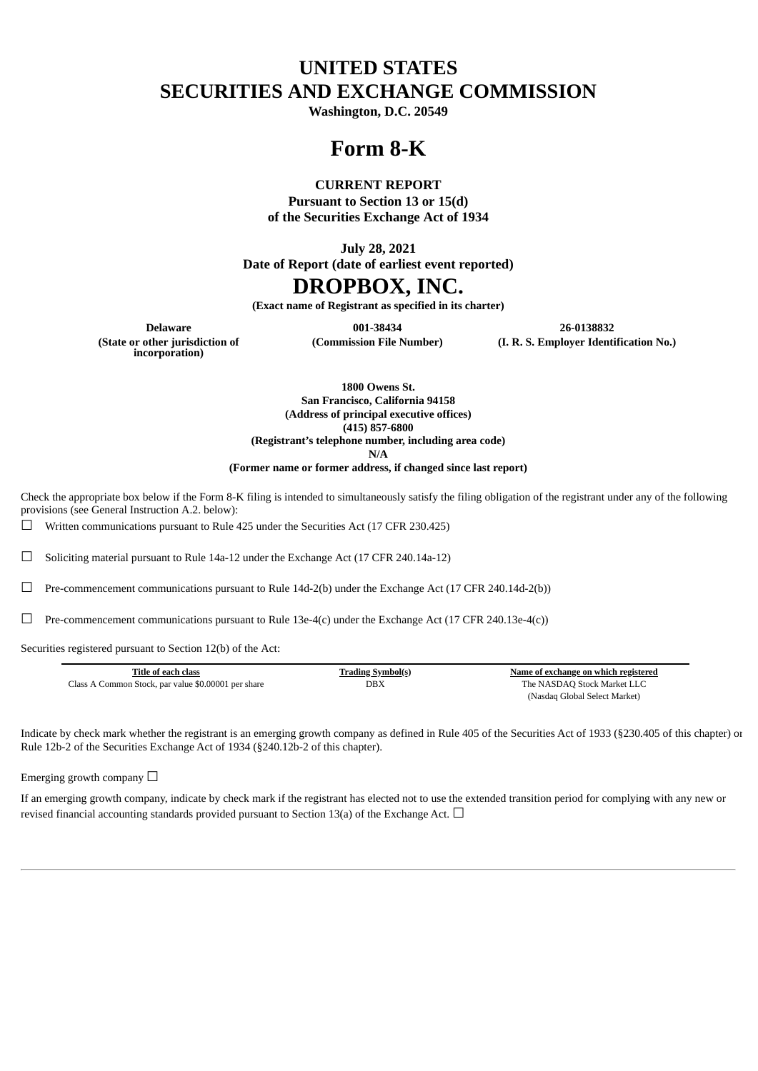# **UNITED STATES SECURITIES AND EXCHANGE COMMISSION**

**Washington, D.C. 20549**

## **Form 8-K**

#### **CURRENT REPORT**

**Pursuant to Section 13 or 15(d) of the Securities Exchange Act of 1934**

**July 28, 2021**

**Date of Report (date of earliest event reported)**

## **DROPBOX, INC.**

**(Exact name of Registrant as specified in its charter)**

**(Commission File Number) (I. R. S. Employer Identification No.)**

**Delaware 001-38434 26-0138832 (State or other jurisdiction of incorporation)**

**1800 Owens St. San Francisco, California 94158 (Address of principal executive offices) (415) 857-6800 (Registrant's telephone number, including area code)**

**N/A**

**(Former name or former address, if changed since last report)**

Check the appropriate box below if the Form 8-K filing is intended to simultaneously satisfy the filing obligation of the registrant under any of the following provisions (see General Instruction A.2. below):

 $\Box$  Written communications pursuant to Rule 425 under the Securities Act (17 CFR 230.425)

 $\Box$  Soliciting material pursuant to Rule 14a-12 under the Exchange Act (17 CFR 240.14a-12)

 $\Box$  Pre-commencement communications pursuant to Rule 14d-2(b) under the Exchange Act (17 CFR 240.14d-2(b))

 $\Box$  Pre-commencement communications pursuant to Rule 13e-4(c) under the Exchange Act (17 CFR 240.13e-4(c))

Securities registered pursuant to Section 12(b) of the Act:

| Title of each class                                 | <b>Trading Symbol(s)</b> | Name of exchange on which registered |
|-----------------------------------------------------|--------------------------|--------------------------------------|
| Class A Common Stock, par value \$0.00001 per share | DBX                      | The NASDAQ Stock Market LLC          |
|                                                     |                          | (Nasdaq Global Select Market)        |

Indicate by check mark whether the registrant is an emerging growth company as defined in Rule 405 of the Securities Act of 1933 (§230.405 of this chapter) or Rule 12b-2 of the Securities Exchange Act of 1934 (§240.12b-2 of this chapter).

Emerging growth company  $\Box$ 

If an emerging growth company, indicate by check mark if the registrant has elected not to use the extended transition period for complying with any new or revised financial accounting standards provided pursuant to Section 13(a) of the Exchange Act.  $\Box$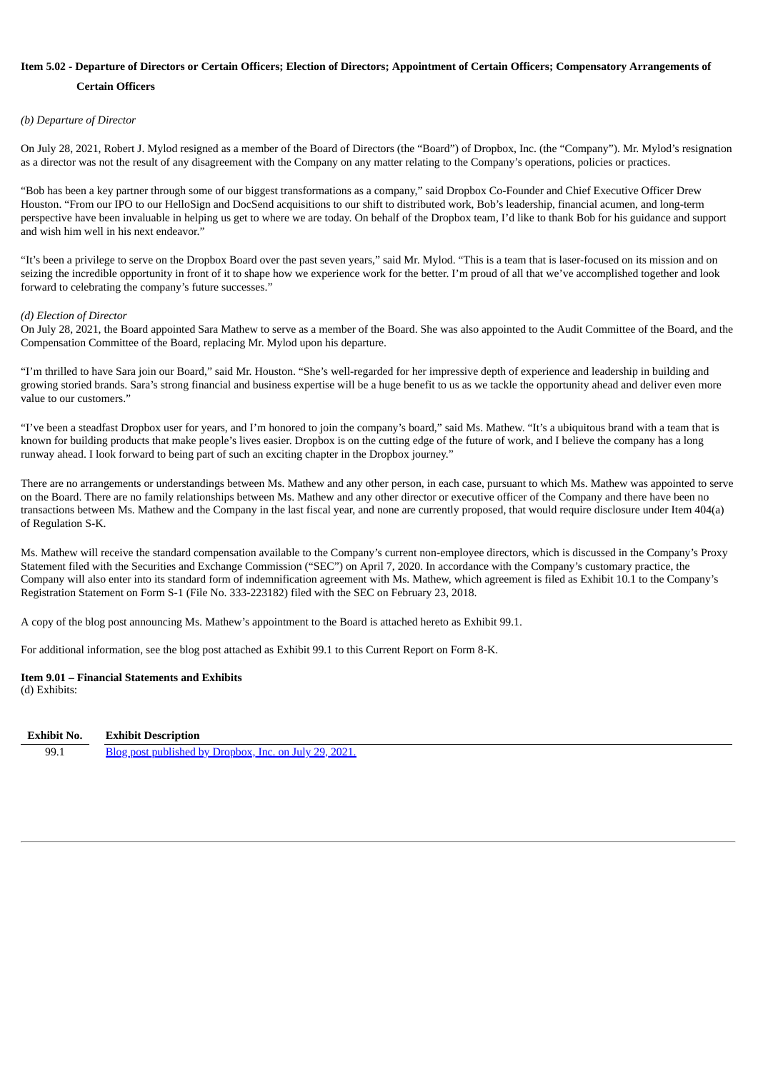## Item 5.02 - Departure of Directors or Certain Officers; Election of Directors; Appointment of Certain Officers; Compensatory Arrangements of **Certain Officers**

#### *(b) Departure of Director*

On July 28, 2021, Robert J. Mylod resigned as a member of the Board of Directors (the "Board") of Dropbox, Inc. (the "Company"). Mr. Mylod's resignation as a director was not the result of any disagreement with the Company on any matter relating to the Company's operations, policies or practices.

"Bob has been a key partner through some of our biggest transformations as a company," said Dropbox Co-Founder and Chief Executive Officer Drew Houston. "From our IPO to our HelloSign and DocSend acquisitions to our shift to distributed work, Bob's leadership, financial acumen, and long-term perspective have been invaluable in helping us get to where we are today. On behalf of the Dropbox team, I'd like to thank Bob for his guidance and support and wish him well in his next endeavor."

"It's been a privilege to serve on the Dropbox Board over the past seven years," said Mr. Mylod. "This is a team that is laser-focused on its mission and on seizing the incredible opportunity in front of it to shape how we experience work for the better. I'm proud of all that we've accomplished together and look forward to celebrating the company's future successes."

#### *(d) Election of Director*

On July 28, 2021, the Board appointed Sara Mathew to serve as a member of the Board. She was also appointed to the Audit Committee of the Board, and the Compensation Committee of the Board, replacing Mr. Mylod upon his departure.

"I'm thrilled to have Sara join our Board," said Mr. Houston. "She's well-regarded for her impressive depth of experience and leadership in building and growing storied brands. Sara's strong financial and business expertise will be a huge benefit to us as we tackle the opportunity ahead and deliver even more value to our customers."

"I've been a steadfast Dropbox user for years, and I'm honored to join the company's board," said Ms. Mathew. "It's a ubiquitous brand with a team that is known for building products that make people's lives easier. Dropbox is on the cutting edge of the future of work, and I believe the company has a long runway ahead. I look forward to being part of such an exciting chapter in the Dropbox journey."

There are no arrangements or understandings between Ms. Mathew and any other person, in each case, pursuant to which Ms. Mathew was appointed to serve on the Board. There are no family relationships between Ms. Mathew and any other director or executive officer of the Company and there have been no transactions between Ms. Mathew and the Company in the last fiscal year, and none are currently proposed, that would require disclosure under Item 404(a) of Regulation S-K.

Ms. Mathew will receive the standard compensation available to the Company's current non-employee directors, which is discussed in the Company's Proxy Statement filed with the Securities and Exchange Commission ("SEC") on April 7, 2020. In accordance with the Company's customary practice, the Company will also enter into its standard form of indemnification agreement with Ms. Mathew, which agreement is filed as Exhibit 10.1 to the Company's Registration Statement on Form S-1 (File No. 333-223182) filed with the SEC on February 23, 2018.

A copy of the blog post announcing Ms. Mathew's appointment to the Board is attached hereto as Exhibit 99.1.

For additional information, see the blog post attached as Exhibit 99.1 to this Current Report on Form 8-K.

#### **Item 9.01 – Financial Statements and Exhibits**

(d) Exhibits:

| Exhibit No. | <b>Exhibit Description</b>                             |
|-------------|--------------------------------------------------------|
| 99.1        | Blog post published by Dropbox, Inc. on July 29, 2021. |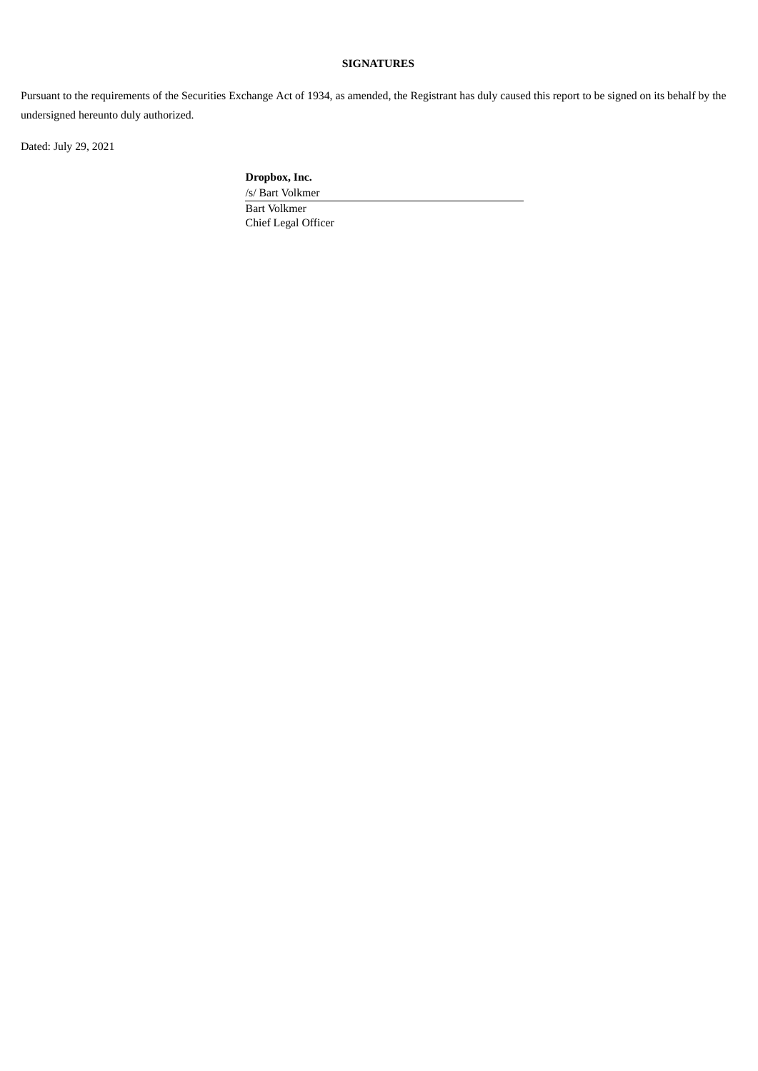### **SIGNATURES**

Pursuant to the requirements of the Securities Exchange Act of 1934, as amended, the Registrant has duly caused this report to be signed on its behalf by the undersigned hereunto duly authorized.

Dated: July 29, 2021

**Dropbox, Inc.**

/s/ Bart Volkmer Bart Volkmer Chief Legal Officer